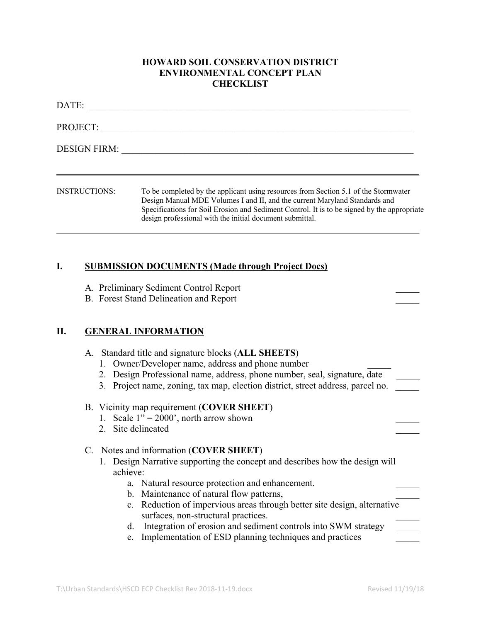## **HOWARD SOIL CONSERVATION DISTRICT ENVIRONMENTAL CONCEPT PLAN CHECKLIST**

| DATE:                |                                                                                                                                                                                                                                                                                                                              |
|----------------------|------------------------------------------------------------------------------------------------------------------------------------------------------------------------------------------------------------------------------------------------------------------------------------------------------------------------------|
| PROJECT:             |                                                                                                                                                                                                                                                                                                                              |
| <b>DESIGN FIRM:</b>  |                                                                                                                                                                                                                                                                                                                              |
| <b>INSTRUCTIONS:</b> | To be completed by the applicant using resources from Section 5.1 of the Stormwater<br>Design Manual MDE Volumes I and II, and the current Maryland Standards and<br>Specifications for Soil Erosion and Sediment Control. It is to be signed by the appropriate<br>design professional with the initial document submittal. |

### **I. SUBMISSION DOCUMENTS (Made through Project Docs)**

- A. Preliminary Sediment Control Report
- B. Forest Stand Delineation and Report

# **II. GENERAL INFORMATION**

- A. Standard title and signature blocks (**ALL SHEETS**)
	- 1. Owner/Developer name, address and phone number
	- 2. Design Professional name, address, phone number, seal, signature, date
	- 3. Project name, zoning, tax map, election district, street address, parcel no.

### B. Vicinity map requirement (**COVER SHEET**)

- 1. Scale  $1'' = 2000'$ , north arrow shown
- 2. Site delineated

### C. Notes and information (**COVER SHEET**)

- 1. Design Narrative supporting the concept and describes how the design will achieve:
	- a. Natural resource protection and enhancement.
	- b. Maintenance of natural flow patterns,
	- c. Reduction of impervious areas through better site design, alternative surfaces, non-structural practices.
	- d. Integration of erosion and sediment controls into SWM strategy
	- e. Implementation of ESD planning techniques and practices \_\_\_\_\_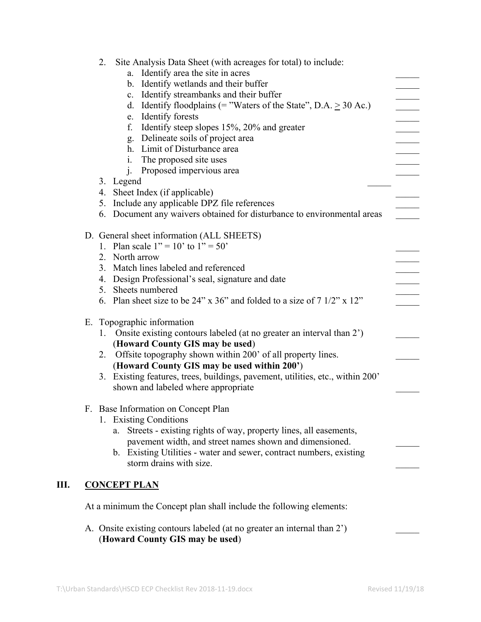| Site Analysis Data Sheet (with acreages for total) to include:<br>2.                                              |  |  |  |  |
|-------------------------------------------------------------------------------------------------------------------|--|--|--|--|
| a. Identify area the site in acres                                                                                |  |  |  |  |
| b. Identify wetlands and their buffer                                                                             |  |  |  |  |
| c. Identify streambanks and their buffer<br>d. Identify floodplains (= "Waters of the State", $D.A. \ge 30 Ac.$ ) |  |  |  |  |
| e. Identify forests                                                                                               |  |  |  |  |
| Identify steep slopes 15%, 20% and greater<br>f.                                                                  |  |  |  |  |
| g. Delineate soils of project area                                                                                |  |  |  |  |
| h. Limit of Disturbance area                                                                                      |  |  |  |  |
| The proposed site uses<br>1.                                                                                      |  |  |  |  |
| j. Proposed impervious area                                                                                       |  |  |  |  |
| 3. Legend                                                                                                         |  |  |  |  |
| 4. Sheet Index (if applicable)                                                                                    |  |  |  |  |
| 5. Include any applicable DPZ file references                                                                     |  |  |  |  |
| 6. Document any waivers obtained for disturbance to environmental areas                                           |  |  |  |  |
| D. General sheet information (ALL SHEETS)                                                                         |  |  |  |  |
| 1. Plan scale $1'' = 10'$ to $1'' = 50'$                                                                          |  |  |  |  |
| 2. North arrow                                                                                                    |  |  |  |  |
| 3. Match lines labeled and referenced                                                                             |  |  |  |  |
| 4. Design Professional's seal, signature and date                                                                 |  |  |  |  |
| 5. Sheets numbered                                                                                                |  |  |  |  |
| 6. Plan sheet size to be $24$ " x $36$ " and folded to a size of $71/2$ " x $12$ "                                |  |  |  |  |
| E. Topographic information                                                                                        |  |  |  |  |
| Onsite existing contours labeled (at no greater an interval than 2')<br>1.                                        |  |  |  |  |
| (Howard County GIS may be used)                                                                                   |  |  |  |  |
| 2. Offsite topography shown within 200' of all property lines.                                                    |  |  |  |  |
| (Howard County GIS may be used within 200')                                                                       |  |  |  |  |
| 3. Existing features, trees, buildings, pavement, utilities, etc., within 200'                                    |  |  |  |  |
| shown and labeled where appropriate                                                                               |  |  |  |  |
| F. Base Information on Concept Plan                                                                               |  |  |  |  |
| 1. Existing Conditions                                                                                            |  |  |  |  |
| Streets - existing rights of way, property lines, all easements,<br>a.                                            |  |  |  |  |
| pavement width, and street names shown and dimensioned.                                                           |  |  |  |  |
| b. Existing Utilities - water and sewer, contract numbers, existing                                               |  |  |  |  |
| storm drains with size.                                                                                           |  |  |  |  |
|                                                                                                                   |  |  |  |  |
| <b>CONCEPT PLAN</b>                                                                                               |  |  |  |  |
| At a minimum the Concept plan shall include the following elements:                                               |  |  |  |  |
| A. Onsite existing contours labeled (at no greater an internal than 2')<br>(Howard County GIS may be used)        |  |  |  |  |

**III.**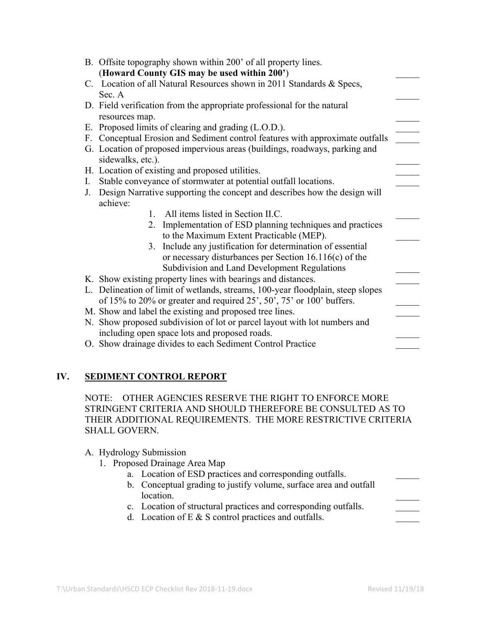| B. Offsite topography shown within 200' of all property lines.<br>(Howard County GIS may be used within 200')              |  |  |  |  |
|----------------------------------------------------------------------------------------------------------------------------|--|--|--|--|
| C. Location of all Natural Resources shown in 2011 Standards & Specs,                                                      |  |  |  |  |
| Sec. A                                                                                                                     |  |  |  |  |
| D. Field verification from the appropriate professional for the natural                                                    |  |  |  |  |
| resources map.                                                                                                             |  |  |  |  |
| E. Proposed limits of clearing and grading (L.O.D.).                                                                       |  |  |  |  |
| F. Conceptual Erosion and Sediment control features with approximate outfalls                                              |  |  |  |  |
| G. Location of proposed impervious areas (buildings, roadways, parking and<br>sidewalks, etc.).                            |  |  |  |  |
| H. Location of existing and proposed utilities.                                                                            |  |  |  |  |
| Stable conveyance of stormwater at potential outfall locations.<br>L.                                                      |  |  |  |  |
| Design Narrative supporting the concept and describes how the design will<br>J.                                            |  |  |  |  |
| achieve:                                                                                                                   |  |  |  |  |
| All items listed in Section II.C.<br>$\mathbf{1}$                                                                          |  |  |  |  |
| Implementation of ESD planning techniques and practices<br>2.                                                              |  |  |  |  |
| to the Maximum Extent Practicable (MEP).                                                                                   |  |  |  |  |
| 3. Include any justification for determination of essential                                                                |  |  |  |  |
| or necessary disturbances per Section $16.116(c)$ of the                                                                   |  |  |  |  |
| Subdivision and Land Development Regulations                                                                               |  |  |  |  |
| K. Show existing property lines with bearings and distances.                                                               |  |  |  |  |
| L. Delineation of limit of wetlands, streams, 100-year floodplain, steep slopes                                            |  |  |  |  |
| of 15% to 20% or greater and required 25', 50', 75' or 100' buffers.                                                       |  |  |  |  |
| M. Show and label the existing and proposed tree lines.                                                                    |  |  |  |  |
| N. Show proposed subdivision of lot or parcel layout with lot numbers and<br>including open space lots and proposed roads. |  |  |  |  |
| O. Show drainage divides to each Sediment Control Practice                                                                 |  |  |  |  |
|                                                                                                                            |  |  |  |  |

# **IV. SEDIMENT CONTROL REPORT**

NOTE: OTHER AGENCIES RESERVE THE RIGHT TO ENFORCE MORE STRINGENT CRITERIA AND SHOULD THEREFORE BE CONSULTED AS TO THEIR ADDITIONAL REQUIREMENTS. THE MORE RESTRICTIVE CRITERIA SHALL GOVERN.

### A. Hydrology Submission

- 1. Proposed Drainage Area Map
	- a. Location of ESD practices and corresponding outfalls.
	- b. Conceptual grading to justify volume, surface area and outfall location.
	- c. Location of structural practices and corresponding outfalls.
	- d. Location of E  $&$  S control practices and outfalls.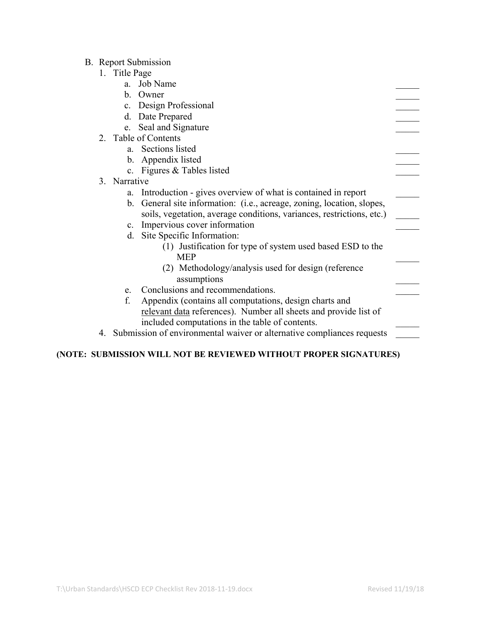## B. Report Submission

- 1. Title Page
	- a. Job Name
	- b. Owner
	- c. Design Professional
	- d. Date Prepared
	- e. Seal and Signature
- 2. Table of Contents
	- a. Sections listed
	- b. Appendix listed
	- c. Figures & Tables listed
- 3. Narrative
	- a. Introduction gives overview of what is contained in report
	- b. General site information: (i.e., acreage, zoning, location, slopes, soils, vegetation, average conditions, variances, restrictions, etc.)
	- c. Impervious cover information
	- d. Site Specific Information:
		- (1) Justification for type of system used based ESD to the MEP **and the set of the set of the set of the set of the set of the set of the set of the set of the set of the set of the set of the set of the set of the set of the set of the set of the set of the set of the set of the**
		- (2) Methodology/analysis used for design (reference assumptions \_\_\_\_\_
	- e. Conclusions and recommendations.
	- f. Appendix (contains all computations, design charts and relevant data references). Number all sheets and provide list of included computations in the table of contents.
- 4. Submission of environmental waiver or alternative compliances requests

### **(NOTE: SUBMISSION WILL NOT BE REVIEWED WITHOUT PROPER SIGNATURES)**